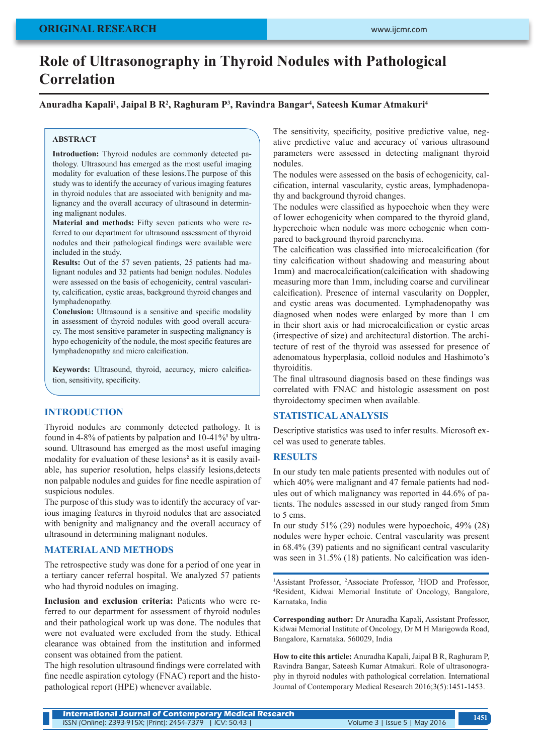# **Role of Ultrasonography in Thyroid Nodules with Pathological Correlation**

## **Anuradha Kapali1 , Jaipal B R2 , Raghuram P3 , Ravindra Bangar4 , Sateesh Kumar Atmakuri4**

#### **ABSTRACT**

**Introduction:** Thyroid nodules are commonly detected pathology. Ultrasound has emerged as the most useful imaging modality for evaluation of these lesions.The purpose of this study was to identify the accuracy of various imaging features in thyroid nodules that are associated with benignity and malignancy and the overall accuracy of ultrasound in determining malignant nodules.

**Material and methods:** Fifty seven patients who were referred to our department for ultrasound assessment of thyroid nodules and their pathological findings were available were included in the study.

**Results:** Out of the 57 seven patients, 25 patients had malignant nodules and 32 patients had benign nodules. Nodules were assessed on the basis of echogenicity, central vascularity, calcification, cystic areas, background thyroid changes and lymphadenopathy.

**Conclusion:** Ultrasound is a sensitive and specific modality in assessment of thyroid nodules with good overall accuracy. The most sensitive parameter in suspecting malignancy is hypo echogenicity of the nodule, the most specific features are lymphadenopathy and micro calcification.

**Keywords:** Ultrasound, thyroid, accuracy, micro calcification, sensitivity, specificity.

## **INTRODUCTION**

Thyroid nodules are commonly detected pathology. It is found in 4-8% of patients by palpation and 10-41%**<sup>1</sup>** by ultrasound. Ultrasound has emerged as the most useful imaging modality for evaluation of these lesions<sup>2</sup> as it is easily available, has superior resolution, helps classify lesions,detects non palpable nodules and guides for fine needle aspiration of suspicious nodules.

The purpose of this study was to identify the accuracy of various imaging features in thyroid nodules that are associated with benignity and malignancy and the overall accuracy of ultrasound in determining malignant nodules.

## **MATERIAL AND METHODS**

The retrospective study was done for a period of one year in a tertiary cancer referral hospital. We analyzed 57 patients who had thyroid nodules on imaging.

**Inclusion and exclusion criteria:** Patients who were referred to our department for assessment of thyroid nodules and their pathological work up was done. The nodules that were not evaluated were excluded from the study. Ethical clearance was obtained from the institution and informed consent was obtained from the patient.

The high resolution ultrasound findings were correlated with fine needle aspiration cytology (FNAC) report and the histopathological report (HPE) whenever available.

The sensitivity, specificity, positive predictive value, negative predictive value and accuracy of various ultrasound parameters were assessed in detecting malignant thyroid nodules.

The nodules were assessed on the basis of echogenicity, calcification, internal vascularity, cystic areas, lymphadenopathy and background thyroid changes.

The nodules were classified as hypoechoic when they were of lower echogenicity when compared to the thyroid gland, hyperechoic when nodule was more echogenic when compared to background thyroid parenchyma.

The calcification was classified into microcalcification (for tiny calcification without shadowing and measuring about 1mm) and macrocalcification(calcification with shadowing measuring more than 1mm, including coarse and curvilinear calcification). Presence of internal vascularity on Doppler, and cystic areas was documented. Lymphadenopathy was diagnosed when nodes were enlarged by more than 1 cm in their short axis or had microcalcification or cystic areas (irrespective of size) and architectural distortion. The architecture of rest of the thyroid was assessed for presence of adenomatous hyperplasia, colloid nodules and Hashimoto's thyroiditis.

The final ultrasound diagnosis based on these findings was correlated with FNAC and histologic assessment on post thyroidectomy specimen when available.

# **STATISTICAL ANALYSIS**

Descriptive statistics was used to infer results. Microsoft excel was used to generate tables.

## **RESULTS**

In our study ten male patients presented with nodules out of which 40% were malignant and 47 female patients had nodules out of which malignancy was reported in 44.6% of patients. The nodules assessed in our study ranged from 5mm to 5 cms.

In our study 51% (29) nodules were hypoechoic, 49% (28) nodules were hyper echoic. Central vascularity was present in 68.4% (39) patients and no significant central vascularity was seen in 31.5% (18) patients. No calcification was iden-

<sup>1</sup>Assistant Professor, <sup>2</sup>Associate Professor, <sup>3</sup>HOD and Professor, 4 Resident, Kidwai Memorial Institute of Oncology, Bangalore, Karnataka, India

**Corresponding author:** Dr Anuradha Kapali, Assistant Professor, Kidwai Memorial Institute of Oncology, Dr M H Marigowda Road, Bangalore, Karnataka. 560029, India

**How to cite this article:** Anuradha Kapali, Jaipal B R, Raghuram P, Ravindra Bangar, Sateesh Kumar Atmakuri. Role of ultrasonography in thyroid nodules with pathological correlation. International Journal of Contemporary Medical Research 2016;3(5):1451-1453.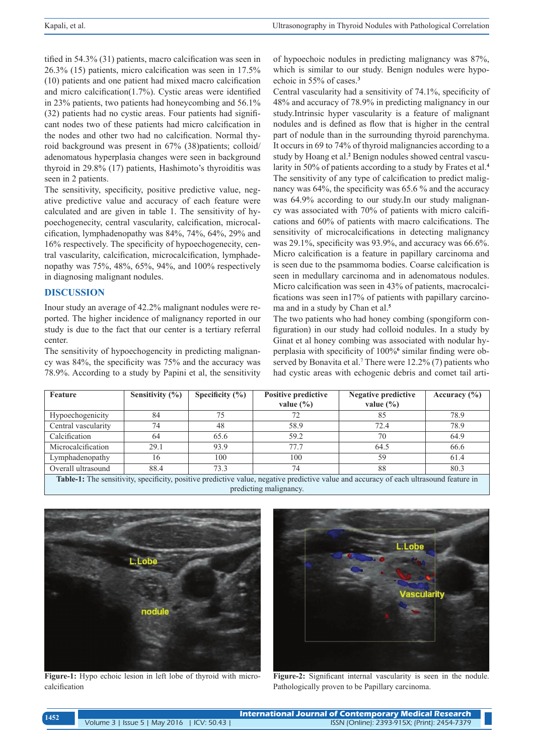tified in 54.3% (31) patients, macro calcification was seen in 26.3% (15) patients, micro calcification was seen in 17.5% (10) patients and one patient had mixed macro calcification and micro calcification(1.7%). Cystic areas were identified in 23% patients, two patients had honeycombing and 56.1% (32) patients had no cystic areas. Four patients had significant nodes two of these patients had micro calcification in the nodes and other two had no calcification. Normal thyroid background was present in 67% (38)patients; colloid/ adenomatous hyperplasia changes were seen in background thyroid in 29.8% (17) patients, Hashimoto's thyroiditis was seen in 2 patients.

The sensitivity, specificity, positive predictive value, negative predictive value and accuracy of each feature were calculated and are given in table 1. The sensitivity of hypoechogenecity, central vascularity, calcification, microcalcification, lymphadenopathy was 84%, 74%, 64%, 29% and 16% respectively. The specificity of hypoechogenecity, central vascularity, calcification, microcalcification, lymphadenopathy was 75%, 48%, 65%, 94%, and 100% respectively in diagnosing malignant nodules.

## **DISCUSSION**

Inour study an average of 42.2% malignant nodules were reported. The higher incidence of malignancy reported in our study is due to the fact that our center is a tertiary referral center.

The sensitivity of hypoechogencity in predicting malignancy was 84%, the specificity was 75% and the accuracy was 78.9%. According to a study by Papini et al, the sensitivity of hypoechoic nodules in predicting malignancy was 87%, which is similar to our study. Benign nodules were hypoechoic in 55% of cases.**<sup>3</sup>**

Central vascularity had a sensitivity of 74.1%, specificity of 48% and accuracy of 78.9% in predicting malignancy in our study.Intrinsic hyper vascularity is a feature of malignant nodules and is defined as flow that is higher in the central part of nodule than in the surrounding thyroid parenchyma. It occurs in 69 to 74% of thyroid malignancies according to a study by Hoang et al.**<sup>2</sup>** Benign nodules showed central vascularity in 50% of patients according to a study by Frates et al.**<sup>4</sup>** The sensitivity of any type of calcification to predict malignancy was 64%, the specificity was 65.6 % and the accuracy was 64.9% according to our study.In our study malignancy was associated with 70% of patients with micro calcifications and 60% of patients with macro calcifications. The sensitivity of microcalcifications in detecting malignancy was 29.1%, specificity was 93.9%, and accuracy was 66.6%. Micro calcification is a feature in papillary carcinoma and is seen due to the psammoma bodies. Coarse calcification is seen in medullary carcinoma and in adenomatous nodules. Micro calcification was seen in 43% of patients, macrocalcifications was seen in17% of patients with papillary carcinoma and in a study by Chan et al.**<sup>5</sup>**

The two patients who had honey combing (spongiform configuration) in our study had colloid nodules. In a study by Ginat et al honey combing was associated with nodular hyperplasia with specificity of 100%**<sup>6</sup>** similar finding were observed by Bonavita et al.<sup>7</sup> There were 12.2% (7) patients who had cystic areas with echogenic debris and comet tail arti-

| Feature                                                                                                                            | Sensitivity $(\% )$ | Specificity $(\% )$ | <b>Positive predictive</b><br>value $(\% )$ | Negative predictive<br>value $(\% )$ | Accuracy $(\% )$ |
|------------------------------------------------------------------------------------------------------------------------------------|---------------------|---------------------|---------------------------------------------|--------------------------------------|------------------|
| Hypoechogenicity                                                                                                                   | 84                  | 75                  | 72                                          | 85                                   | 78.9             |
| Central vascularity                                                                                                                | 74                  | 48                  | 58.9                                        | 72.4                                 | 78.9             |
| Calcification                                                                                                                      | 64                  | 65.6                | 59.2                                        | 70                                   | 64.9             |
| Microcalcification                                                                                                                 | 29.1                | 93.9                | 77.7                                        | 64.5                                 | 66.6             |
| Lymphadenopathy                                                                                                                    | 16                  | 100                 | 100                                         | 59                                   | 61.4             |
| Overall ultrasound                                                                                                                 | 88.4                | 73.3                | 74                                          | 88                                   | 80.3             |
| Toble 1: The concituity encaifaity positive prodictive velve peoplishes redictive velve and ecouragy of each ultressund feeture in |                     |                     |                                             |                                      |                  |

**Table-1:** The sensitivity, specificity, positive predictive value, negative predictive value and accuracy of each ultrasound feature in predicting malignancy.



**Figure-1:** Hypo echoic lesion in left lobe of thyroid with microcalcification



**Figure-2:** Significant internal vascularity is seen in the nodule. Pathologically proven to be Papillary carcinoma.

| 1452 |                                            | <b>International Journal of Contemporary Medical Research</b> |
|------|--------------------------------------------|---------------------------------------------------------------|
|      | Volume 3   Issue 5   May 2016   ICV: 50.43 | ISSN (Online): 2393-915X; (Print): 2454-7379                  |